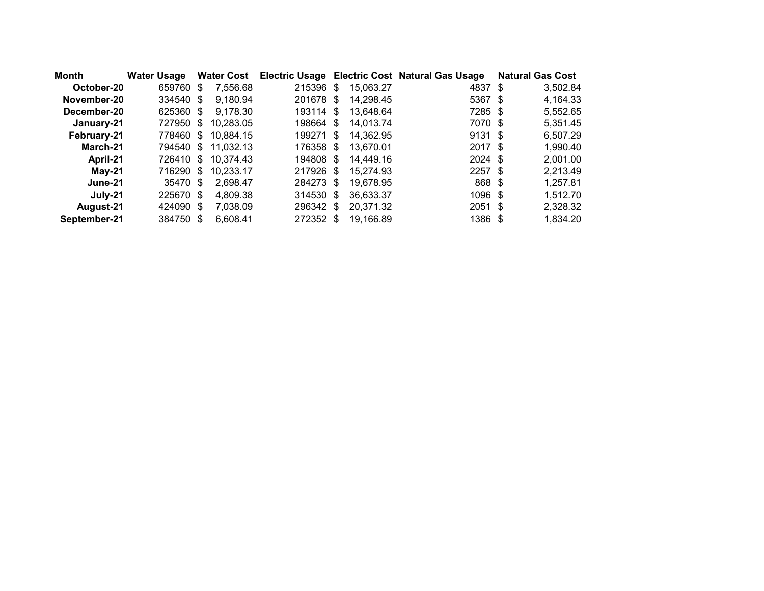| Month        | <b>Water Usage</b> | <b>Water Cost</b> |           |           | Electric Usage Electric Cost Natural Gas Usage | <b>Natural Gas Cost</b> |
|--------------|--------------------|-------------------|-----------|-----------|------------------------------------------------|-------------------------|
| October-20   | 659760 \$          | 7,556.68          | 215396 \$ | 15,063.27 | 4837 \$                                        | 3,502.84                |
| November-20  | 334540 \$          | 9,180.94          | 201678 \$ | 14,298.45 | 5367 \$                                        | 4,164.33                |
| December-20  | 625360 \$          | 9,178.30          | 193114 \$ | 13,648.64 | 7285 \$                                        | 5,552.65                |
| January-21   | 727950 \$          | 10,283.05         | 198664 \$ | 14,013.74 | 7070 \$                                        | 5,351.45                |
| February-21  | 778460 \$          | 10.884.15         | 199271 \$ | 14,362.95 | $9131$ \$                                      | 6,507.29                |
| March-21     | 794540 \$          | 11,032.13         | 176358 \$ | 13,670.01 | 2017 \$                                        | 1,990.40                |
| April-21     | 726410 \$          | 10,374.43         | 194808 \$ | 14,449.16 | $2024$ \$                                      | 2,001.00                |
| May-21       | 716290 \$          | 10.233.17         | 217926 \$ | 15,274.93 | $2257$ \$                                      | 2,213.49                |
| June-21      | 35470 \$           | 2.698.47          | 284273 \$ | 19.678.95 | 868 \$                                         | 1,257.81                |
| July-21      | 225670 \$          | 4.809.38          | 314530 \$ | 36,633.37 | 1096 \$                                        | 1,512.70                |
| August-21    | 424090 \$          | 7.038.09          | 296342 \$ | 20,371.32 | $2051$ \$                                      | 2,328.32                |
| September-21 | 384750 \$          | 6.608.41          | 272352 \$ | 19,166.89 | 1386 \$                                        | 1,834.20                |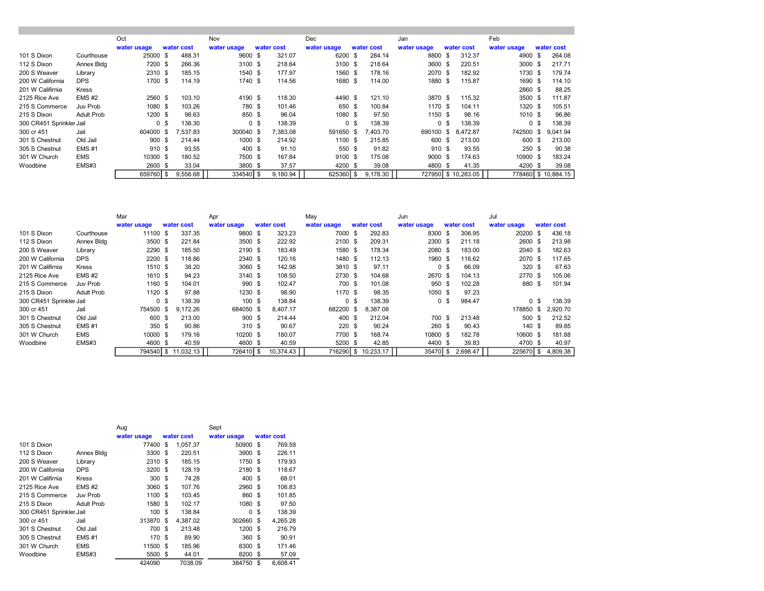|                          |              | Oct         |                |          | Nov         |                |            | Dec         |                |            | Jan         |                |             | Feb         |                |             |
|--------------------------|--------------|-------------|----------------|----------|-------------|----------------|------------|-------------|----------------|------------|-------------|----------------|-------------|-------------|----------------|-------------|
|                          |              | water usage | water cost     |          | water usage |                | water cost | water usage |                | water cost | water usage |                | water cost  | water usage |                | water cost  |
|                          |              |             |                |          |             |                |            |             |                |            |             |                |             |             |                |             |
| 101 S Dixon              | Courthouse   | 25000 \$    |                | 488.31   | 9600        | \$             | 321.07     | 6200        | -\$            | 284.14     | 8800        | - \$           | 312.37      | 4900        | -\$            | 264.08      |
| 112 S Dixon              | Annex Bldg   | 7200 \$     |                | 266.36   | 3100 \$     |                | 218.64     | 3100 \$     |                | 218.64     | 3600        | - \$           | 220.51      | 3000        |                | 217.71      |
| 200 S Weaver             | Library      | 2310 \$     |                | 185.15   | 1540 \$     |                | 177.97     | 1560 \$     |                | 178.16     | 2070 \$     |                | 182.92      | 1730        | - \$           | 179.74      |
| 200 W California         | <b>DPS</b>   | 1700 \$     |                | 114.19   | 1740        | - \$           | 114.56     | 1680        | - \$           | 114.00     | 1880 \$     |                | 115.87      | 1690 \$     |                | 114.10      |
| 201 W Califirnia         | Kress        |             |                |          |             |                |            |             |                |            |             |                |             | 2860 \$     |                | 88.25       |
| 2125 Rice Ave            | $EMS$ #2     | 2560 \$     |                | 103.10   | 4190 \$     |                | 118.30     | 4490 \$     |                | 121.10     | 3870 \$     |                | 115.32      | 3500 \$     |                | 111.87      |
| 215 S Commerce           | Juv Prob     | 1080 \$     |                | 103.26   | 780 \$      |                | 101.46     | 650 \$      |                | 100.84     | 1170 \$     |                | 104.11      | 1320 \$     |                | 105.51      |
| 215 S Dixon              | Adult Prob   | 1200 \$     |                | 98.63    | 850 \$      |                | 96.04      | 1080 \$     |                | 97.50      | 1150 \$     |                | 98.16       | 1010S       |                | 96.86       |
| 300 CR451 Sprinkler Jail |              |             | 0 <sup>5</sup> | 138.30   |             | 0 <sup>5</sup> | 138.39     |             | 0 <sup>5</sup> | 138.39     |             | 0 <sup>5</sup> | 138.39      |             | 0 <sup>5</sup> | 138.39      |
| 300 cr 451               | Jail         | 604000 \$   |                | 7,537.83 | 300040 \$   |                | 7.383.08   | 591650 \$   |                | 403.70     | 690100      | \$             | 8.472.87    | 742500      | \$.            | 9.041.94    |
| 301 S Chestnut           | Old Jail     | 900S        |                | 214.44   | 1000 \$     |                | 214.92     | 1100 \$     |                | 215.85     | 600         | - \$           | 213.00      | 600         | \$             | 213.00      |
| 305 S Chestnut           | <b>EMS#1</b> | 910S        |                | 93.55    | 400 \$      |                | 91.10      | 550 \$      |                | 91.82      | 910 \$      |                | 93.55       | 250         | - \$           | 90.38       |
| 301 W Church             | <b>EMS</b>   | 10300 \$    |                | 180.52   | 7500 \$     |                | 167.84     | 9100 \$     |                | 175.08     | 9000 \$     |                | 174.63      | 10900 \$    |                | 183.24      |
| Woodbine                 | EMS#3        | 2600 \$     |                | 33.04    | 3800 \$     |                | 37.57      | 4200 \$     |                | 39.08      | 4800 \$     |                | 41.35       | 4200 \$     |                | 39.08       |
|                          |              | 659760 \$   |                | 9,556.68 | 334540 S    |                | 9.180.94   | 625360 \$   |                | 9.178.30   | 727950      |                | \$10,283,05 | 778460      |                | \$10.884.15 |

|                          |                   | Mar            |                    | Apr         |            |           | May            |      |            | Jun            |                |            | Jul         |                |            |
|--------------------------|-------------------|----------------|--------------------|-------------|------------|-----------|----------------|------|------------|----------------|----------------|------------|-------------|----------------|------------|
|                          |                   | water usage    | water cost         | water usage | water cost |           | water usage    |      | water cost | water usage    |                | water cost | water usage |                | water cost |
| 101 S Dixon              | Courthouse        | 11100 \$       | 337.35             | 9800        | - \$       | 323.23    | 7000           | - \$ | 292.83     | 8300           | - \$           | 306.95     | 20200       | -\$            | 436.18     |
| 112 S Dixon              | Annex Bldg        | 3500 \$        | 221.84             | 3500 \$     |            | 222.92    | 2100 \$        |      | 209.31     | 2300 \$        |                | 211.18     | 2600        | -\$            | 213.98     |
| 200 S Weaver             | Library           | 2290 \$        | 185.50             | 2190 \$     |            | 183.49    | 1580 \$        |      | 178.34     | 2080 \$        |                | 183.00     | 2040        | - \$           | 182.63     |
| 200 W California         | <b>DPS</b>        | 2200 \$        | 118.86             | 2340 \$     |            | 120.16    | 1480 \$        |      | 112.13     | 1960 \$        |                | 116.62     | 2070 \$     |                | 117.65     |
| 201 W Califirnia         | Kress             | 1510 \$        | 38.20              | 3060 \$     |            | 142.98    | 3810 \$        |      | 97.11      | 0 <sup>5</sup> |                | 66.09      | 320         | -\$            | 67.63      |
| 2125 Rice Ave            | $EMS$ #2          | 1610 \$        | 94.23              | 3140 \$     |            | 108.50    | 2730 \$        |      | 104.68     | 2670 \$        |                | 104.13     | 2770 \$     |                | 105.06     |
| 215 S Commerce           | Juv Prob          | 1160 \$        | 104.01             | 990         | - \$       | 102.47    | 700 \$         |      | 101.08     | 950 \$         |                | 102.28     | 880         | \$             | 101.94     |
| 215 S Dixon              | <b>Adult Prob</b> | 1120 \$        | 97.88              | $1230$ \$   |            | 98.90     | 1170 \$        |      | 98.35      | 1050 \$        |                | 97.23      |             |                |            |
| 300 CR451 Sprinkler Jail |                   | 0 <sup>5</sup> | 138.39             | 100S        |            | 138.84    | 0 <sup>5</sup> |      | 138.39     |                | 0 <sup>5</sup> | 984.47     |             | 0 <sup>5</sup> | 138.39     |
| 300 cr 451               | Jail              | 754500 \$      | 9.172.26           | 684050 \$   |            | 8.407.17  | 682200 \$      |      | 8.387.08   |                |                |            | 178850      | \$.            | 2,920.70   |
| 301 S Chestnut           | Old Jail          | 600 \$         | 213.00             | 900S        |            | 214.44    | 400            | - \$ | 212.04     | 700            |                | 213.48     | 500         |                | 212.52     |
| 305 S Chestnut           | <b>EMS#1</b>      | 350 \$         | 90.86              | 310 \$      |            | 90.67     | 220            | - \$ | 90.24      | 260 \$         |                | 90.43      | 140 \$      |                | 89.85      |
| 301 W Church             | <b>EMS</b>        | 10000 \$       | 179.16             | 10200 \$    |            | 180.07    | 7700 \$        |      | 168.74     | 10800 \$       |                | 182.78     | 10600 \$    |                | 181.88     |
| Woodbine                 | EMS#3             | 4600 \$        | 40.59              | 4600 \$     |            | 40.59     | 5200 \$        |      | 42.85      | 4400 \$        |                | 39.83      | 4700 \$     |                | 40.97      |
|                          |                   |                | 794540 \$11,032.13 | 726410 S    |            | 10.374.43 | 716290 S       |      | 10.233.17  | 35470 \$       |                | 2.698.47   | 225670      | \$             | 4,809.38   |

|                          |                   | Aug         |      |            | Sept        |     |            |
|--------------------------|-------------------|-------------|------|------------|-------------|-----|------------|
|                          |                   | water usage |      | water cost | water usage |     | water cost |
| 101 S Dixon              |                   | 77400       | \$.  | 1.057.37   | 50900       | \$  | 769.59     |
| 112 S Dixon              | Annex Bldg        | 3300        | \$   | 220.51     | 3900        | \$  | 226.11     |
| 200 S Weaver             | Library           | 2310        | -\$  | 185.15     | 1750        | \$  | 179.93     |
| 200 W California         | <b>DPS</b>        | 3200        | \$   | 128.19     | 2180        | -\$ | 118.67     |
| 201 W Califirnia         | <b>Kress</b>      | 300         | -\$  | 74.28      | 400         | \$  | 68.01      |
| 2125 Rice Ave            | $EMS$ #2          | 3060        | -\$  | 107.76     | 2960 \$     |     | 106.83     |
| 215 S Commerce           | Juv Prob          | 1100        | \$.  | 103.45     | 860         | \$. | 101.85     |
| 215 S Dixon              | <b>Adult Prob</b> | 1580        | \$   | 102.17     | 1080        | -\$ | 97.50      |
| 300 CR451 Sprinkler Jail |                   | 100         | \$   | 138.84     | 0           | \$  | 138.39     |
| 300 cr 451               | Jail              | 313870      | \$.  | 4.387.02   | 302660      | \$  | 4,265.28   |
| 301 S Chestnut           | Old Jail          | 700         | -\$  | 213.48     | 1200 \$     |     | 216.79     |
| 305 S Chestnut           | <b>EMS#1</b>      | 170         | -\$  | 89.90      | 360         | -\$ | 90.91      |
| 301 W Church             | <b>EMS</b>        | 11500       | \$   | 185.96     | 8300        | \$  | 171.46     |
| Woodbine                 | EMS#3             | 5500        | - \$ | 44.01      | 8200        | \$  | 57.09      |
|                          |                   | 424090      |      | 7038.09    | 384750      | \$  | 6.608.41   |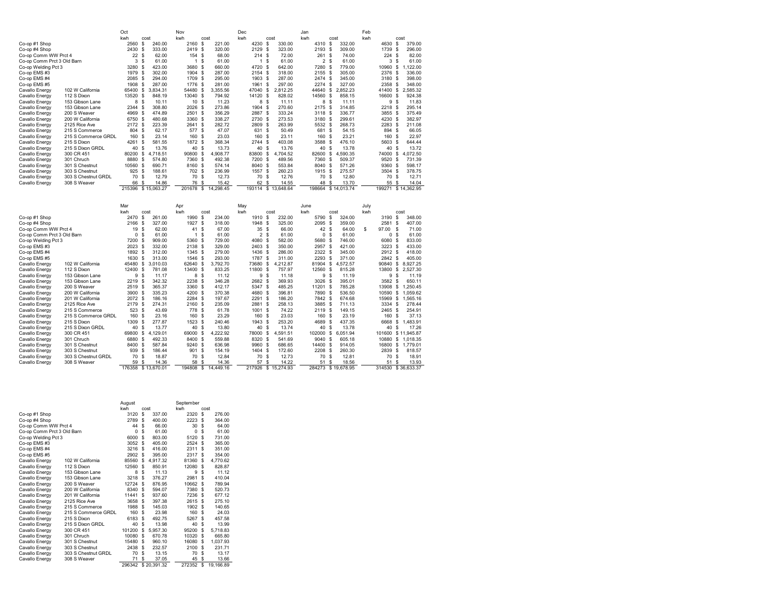|                            |                     | Oct         |                         | Nov          |               |           | Dec      |                |                     | Jan            |          |             | Feb  |                       |      |             |
|----------------------------|---------------------|-------------|-------------------------|--------------|---------------|-----------|----------|----------------|---------------------|----------------|----------|-------------|------|-----------------------|------|-------------|
|                            |                     | kwh         | cost                    | kwh          | cost          |           | kwh      |                | cost                | kwh            |          | cost        | kwh  |                       | cost |             |
| Co-op #1 Shop              |                     | 2560        | \$<br>240.00            | 2160         | -S            | 221.00    | 4230     | \$             | 330.00              | 4310           | \$       | 332.00      |      | 4630                  | \$   | 379.00      |
| Co-op #4 Shop              |                     | 2430        | 333.00<br>-S            | 2419         | <sub>\$</sub> | 320.00    | 2129     | \$             | 323.00              | 2193           | \$       | 309.00      |      | 1739<br><sub>\$</sub> |      | 296.00      |
| Co-op Comm WW Prct 4       |                     | 22          | -S<br>62.00             | 154 \$       |               | 68.00     |          | 214S           | 72.00               | 261 \$         |          | 74.00       |      | 224<br><b>S</b>       |      | 82.00       |
| Co-op Comm Prct 3 Old Barn |                     | 3           | -S<br>61.00             | $\mathbf{1}$ | - \$          | 61.00     |          | 1 <sup>5</sup> | 61.00               | $\overline{2}$ | <b>s</b> | 61.00       |      | 3<br>-S               |      | 61.00       |
| Co-op Welding Pct 3        |                     | 3280        | - \$<br>423.00          | 3680 \$      |               | 660.00    | 4720 \$  |                | 642.00              | 7280           | \$       | 779.00      |      | 10960                 | \$   | 1,122.00    |
| Co-op EMS#3                |                     | 1979        | -\$<br>302.00           | 1904 \$      |               | 287.00    | 2154 \$  |                | 318.00              | 2155           | \$       | 305.00      |      | \$<br>2376            |      | 336.00      |
| Co-op EMS #4               |                     | 2085        | - \$<br>294.00          | 1709 \$      |               | 295.00    | 1903 \$  |                | 287.00              | 2474 \$        |          | 345.00      |      | <sub>\$</sub><br>3180 |      | 398.00      |
| Co-op EMS #5               |                     | 1908        | -S<br>287.00            | 1776         | <sub>\$</sub> | 281.00    | 1961 \$  |                | 297.00              | 2274           | <b>s</b> | 327.00      |      | 2358<br>-S            |      | 348.00      |
| Cavallo Energy             | 102 W California    | 65400 \$    | 3.834.31                | 54480        | <sub>\$</sub> | 3.355.56  | 47040 \$ |                | 2.812.25            | 44640          | s        | 2.852.23    |      | 41400                 | \$   | 2.585.32    |
| Cavallo Energy             | 112 S Dixon         | 13520       | $\sqrt{3}$<br>848.19    | 13040        | \$            | 794.92    | 14120    | \$             | 828.02              | 14560          | \$       | 858.15      |      | 16600<br>\$           |      | 924.38      |
| Cavallo Energy             | 153 Gibson Lane     | 8           | <sup>\$</sup><br>10.11  | 10S          |               | 11.23     |          | 8<br>\$        | 11.11               | 8              | \$       | 11.11       |      | 9<br><sub>\$</sub>    |      | 11.83       |
| Cavallo Energy             | 153 Gibson Lane     | 2344        | \$<br>308.80            | 2026         | <b>S</b>      | 273.86    | 1904     | - \$           | 270.60              | 2175           | \$       | 314.85      |      | 2218<br><sub>\$</sub> |      | 295.14      |
| Cavallo Energy             | 200 S Weaver        | 4969 \$     | 474.89                  | 2501 \$      |               | 356.29    | 2887 \$  |                | 333.24              | 3118 S         |          | 336.77      |      | 3855<br>- \$          |      | 375.49      |
| Cavallo Energy             | 200 W California    | 6750        | 480.68<br>- \$          | 3360         | <b>S</b>      | 338.27    | 2730 \$  |                | 273.53              | 3180           | \$       | 299.61      |      | 4230<br><sub>\$</sub> |      | 382.97      |
| Cavallo Energy             | 2125 Rice Ave       | 2172 \$     | 223.39                  | 2641 \$      |               | 282.72    | 2809 \$  |                | 263.99              | 5532 \$        |          | 268.73      |      | 2283<br>-S            |      | 211.08      |
| Cavallo Energy             | 215 S Commerce      | 804         | \$<br>62.17             | 577 \$       |               | 47.07     |          | 631 \$         | 50.49               | 681            | s        | 54.15       |      | 894<br><b>S</b>       |      | 66.05       |
| Cavallo Energy             | 215 S Commerce GRDL | 160         | - \$<br>23.14           | 160          | <sub>\$</sub> | 23.03     | 160      | - \$           | 23.11               | 160            | \$       | 23.21       |      | 160<br><sub>\$</sub>  |      | 22.97       |
| Cavallo Energy             | 215 S Dixon         | 4261        | \$<br>581.55            | 1872 \$      |               | 368.34    | 2744     | - \$           | 403.08              | 3588           | <b>s</b> | 476.10      |      | 5603<br>-S            |      | 644.44      |
| Cavallo Energy             | 215 S Dixon GRDL    | 40 \$       | 13.76                   | 40 \$        |               | 13.73     |          | 40 \$          | 13.76               | 40             | \$       | 13.78       |      | 40<br><b>S</b>        |      | 13.72       |
| Cavallo Energy             | 300 CR 451          | 80200       | $\sqrt{3}$<br>4.718.51  | 90800        | \$            | 4,908.77  | 83800 \$ |                | 4.704.52            | 82600          | \$       | 4.590.35    |      | 74000                 | \$   | 4.072.50    |
| Cavallo Energy             | 301 Chruch          | 8880        | <sub>\$</sub><br>574.80 | 7360 \$      |               | 492.38    | 7200 \$  |                | 489.56              | 7360           | \$       | 509.37      |      | 9520<br><sub>\$</sub> |      | 731.39      |
| Cavallo Energy             | 301 S Chestnut      | 10560       | <sub>\$</sub><br>690.71 | 8160 \$      |               | 574.14    | 8040 \$  |                | 553.84              | 8040           | \$       | 571.26      |      | 9360<br><sub>\$</sub> |      | 598.17      |
| Cavallo Energy             | 303 S Chestnut      | 925         | - \$<br>188.61          | 702 \$       |               | 236.99    | 1557 \$  |                | 260.23              | 1915 \$        |          | 275.57      |      | 3504 \$               |      | 378.75      |
| Cavallo Energy             | 303 S Chestnut GRDL | 70          | -S<br>12.79             | 70           | -S            | 12.73     |          | 70 \$          | 12.76               | 70             | s        | 12.80       |      | 70<br>-S              |      | 12.71       |
| Cavallo Energy             | 308 S Weaver        | 66          | 14.86<br>\$             | 76           | $\mathbf{\$}$ | 15.42     |          | 62 \$          | 14.55               | 48             | \$       | 13.70       |      | 55<br><b>S</b>        |      | 14.04       |
|                            |                     | 215396      | \$15,063.27             | 201678       | \$            | 14.298.45 |          |                | 193114 \$ 13,648.64 | 198664         |          | \$14,013.74 |      | 199271                |      | \$14,362.95 |
|                            |                     |             |                         |              |               |           |          |                |                     |                |          |             |      |                       |      |             |
|                            |                     |             |                         |              |               |           |          |                |                     |                |          |             |      |                       |      |             |
|                            |                     | Mar         |                         | Apr          |               |           | May      |                |                     | June           |          |             | July |                       |      |             |
|                            |                     | kwh         | cost                    | kwh          | cost          |           | kwh      |                | cost                | kwh            |          | cost        | kwh  |                       | cost |             |
| Co-op #1 Shop              |                     | 2470        | \$<br>261.00            | 1990         | \$            | 234.00    | 1910     | s.             | 232.00              | 5790           | s        | 324.00      |      | 3190                  | \$   | 348.00      |
| Co-op #4 Shop              |                     | 2166        | -S<br>327.00            | 1927 \$      |               | 318.00    | 1948 \$  |                | 325.00              | 2095           | -S       | 359.00      |      | 2581<br>-S            |      | 407.00      |
| Co-op Comm WW Prct 4       |                     | 19          | \$<br>62.00             | 41           | -S            | 67.00     | 35       | - \$           | 66.00               | 42             | s        | 64.00       | \$   | 97.00                 | \$   | 71.00       |
| Co-op Comm Prct 3 Old Barn |                     | $\mathbf 0$ | \$<br>61.00             | 1            | -S            | 61.00     |          | 2 <sup>5</sup> | 61.00               | 0              | s        | 61.00       |      | 0<br>-S               |      | 61.00       |
| Co-op Welding Pct 3        |                     | 7200        | 909.00<br>- \$          | 5360 \$      |               | 729.00    | 4080 \$  |                | 582.00              | 5680           | -S       | 746.00      |      | 6080<br><b>S</b>      |      | 833.00      |
| Co-op EMS#3                |                     | 2023        | 332.00<br>- \$          | 2138         | - \$          | 329.00    | 2403 \$  |                | 350.00              | 2957           | <b>s</b> | 421.00      |      | 3223<br><sub>\$</sub> |      | 433.00      |
| Co-op EMS #4               |                     | 1892        | - \$<br>312.00          | 1345         | - \$          | 279.00    | 1436     | - \$           | 286.00              | 2322           | -S       | 345.00      |      | 2912<br>-S            |      | 418.00      |
| Co-op EMS #5               |                     | 1630        | \$<br>313.00            | 1546         | - \$          | 293.00    | 1787     | - \$           | 311.00              | 2293           | s        | 371.00      |      | 2842<br>-S            |      | 405.00      |
| Cavallo Energy             | 102 W California    | 45480 \$    | 3.010.03                | 62640        | \$            | 3,792.70  | 73680 \$ |                | 4,212.87            | 81904          | \$       | 4,572.57    |      | 90840                 | \$   | 8,927.25    |
| Cavallo Energy             | 112 S Dixon         | 12400       | - \$<br>781.08          | 13400        | -S            | 833.25    | 11800 \$ |                | 757.97              | 12560          | s        | 815.28      |      | 13800                 | \$   | 2.527.30    |
| Cavallo Energy             | 153 Gibson Lane     | 9           | <sub>\$</sub><br>11.17  | 8            | <b>S</b>      | 11.12     |          | 9S             | 11.18               | 9              | \$       | 11.19       |      | 9                     | \$   | 11.19       |
| Cavallo Energy             | 153 Gibson Lane     | 2219        | - \$<br>342.32          | 2238         | - \$          | 346.28    | 2682 \$  |                | 369.93              | 3026           | s        | 395.01      |      | 3582<br>-S            |      | 650.11      |
| Cavallo Energy             | 200 S Weaver        | 2519        | - \$<br>365.37          | 3360         | - \$          | 412.17    | 5347 \$  |                | 485.25              | 11201 S        |          | 785.28      |      | 13908                 | \$   | 1.250.45    |
| Cavallo Energy             | 200 W California    | 3900 \$     | 335.23                  | 4200 \$      |               | 370.38    | 4680 \$  |                | 396.81              | 7890 \$        |          | 536.50      |      | 10590                 | \$   | 1,059.62    |
| Cavallo Energy             | 201 W California    | 2072 \$     | 186.16                  | 2284         | -S            | 197.67    | 2291 \$  |                | 186.20              | 7842 \$        |          | 674.68      |      | 15969                 | \$   | 1,565.16    |
| Cavallo Energy             | 2125 Rice Ave       | 2179 \$     | 274.31                  | 2160         | -S            | 235.09    | 2881 \$  |                | 258.13              | 3885           | <b>S</b> | 711.13      |      | - S<br>3334           |      | 278.44      |
| Cavallo Energy             | 215 S Commerce      | 523         | -S<br>43.69             | 778          | <sub>\$</sub> | 61.78     | 1001     | - \$           | 74.22               | 2119           | \$       | 149.15      |      | <sub>\$</sub><br>2465 |      | 254.91      |
| Cavallo Energy             | 215 S Commerce GRDL | 160         | $\mathbf{s}$<br>23.16   | 160          | <sub>\$</sub> | 23.29     | 160      | \$.            | 23.03               | 160            | <b>s</b> | 23.19       |      | 160<br>$\mathbf{s}$   |      | 37.13       |

|                            |                     |          |              |                    |           |      |           |          |      |                     |           |    |                    |         |      | ----               |
|----------------------------|---------------------|----------|--------------|--------------------|-----------|------|-----------|----------|------|---------------------|-----------|----|--------------------|---------|------|--------------------|
| Cavallo Energy             | 201 W California    | 2072 \$  |              | 186.16             | 2284 \$   |      | 197.67    | 2291     | - \$ | 186.20              | 7842 \$   |    | 674.68             | 15969   | \$.  | ,565.16            |
| Cavallo Energy             | 2125 Rice Ave       | 2179 \$  |              | 274.31             | 2160 \$   |      | 235.09    | 2881     | - \$ | 258.13              | 3885 \$   |    | 711.13             | 3334    | - \$ | 278.44             |
| Cavallo Energy             | 215 S Commerce      | 523 \$   |              | 43.69              | 778 \$    |      | 61.78     | 1001     | - \$ | 74.22               | 2119 S    |    | 149.15             | 2465 \$ |      | 254.91             |
| Cavallo Energy             | 215 S Commerce GRDL | 160      | - \$         | 23.16              | 160 \$    |      | 23.29     | 160      | - S  | 23.03               | 160 \$    |    | 23.19              | 160     |      | 37.13              |
| Cavallo Energy             | 215 S Dixon         | 1309 \$  |              | 277.87             | 1523 \$   |      | 240.46    | 1943 \$  |      | 253.20              | 4689 \$   |    | 437.35             | 6668    | s    | ,483.91            |
| Cavallo Energy             | 215 S Dixon GRDL    | 40       | $\mathbf{s}$ | 13.77              | 40        | -S   | 13.80     | 40 \$    |      | 13.74               | 40        | -S | 13.78              | 40      | Я    | 17.26              |
| Cavallo Energy             | 300 CR 451          | 69800 \$ |              | 4,129.01           | 69000 \$  |      | 4,222.92  | 78000 \$ |      | 4,591.51            | 102000 \$ |    | 6,051.94           | 101600  |      | \$11,945.87        |
| Cavallo Energy             | 301 Chruch          | 6880 \$  |              | 492.33             | 8400 \$   |      | 559.88    | 8320     | - \$ | 541.69              | 9040 \$   |    | 605.18             | 10880   | s    | 1,018.35           |
| Cavallo Energy             | 301 S Chestnut      | 8400 \$  |              | 587.84             | 9240 \$   |      | 636.98    | 9960 \$  |      | 686.65              | 14400 \$  |    | 914.05             | 16800   |      | .779.01            |
| Cavallo Energy             | 303 S Chestnut      | 939 \$   |              | 186.44             | 901 \$    |      | 154.19    | 1404 \$  |      | 172.60              | 2208 \$   |    | 260.30             | 2839    | - \$ | 818.57             |
| Cavallo Energy             | 303 S Chestnut GRDL | 70       | - \$         | 18.87              | 70        | - \$ | 12.84     | 70 \$    |      | 12.73               | 70 S      |    | 12.81              | 70      | \$.  | 18.91              |
| Cavallo Energy             | 308 S Weaver        | 59       | ŝ.           | 14.36              | 58        | \$.  | 14.36     | 57       | -S   | 14.22               | 51        | -S | 18.56              | 51      | £.   | 13.93              |
|                            |                     |          |              | 176358 \$13,670.01 | 194808    | S.   | 14.449.16 |          |      | 217926 \$ 15,274.93 |           |    | 284273 \$19.678.95 |         |      | 314530 \$36,633.37 |
|                            |                     |          |              |                    |           |      |           |          |      |                     |           |    |                    |         |      |                    |
|                            |                     | August   |              |                    | September |      |           |          |      |                     |           |    |                    |         |      |                    |
|                            |                     | kwh      | cost         |                    | kwh       | cost |           |          |      |                     |           |    |                    |         |      |                    |
| Co-op #1 Shop              |                     | 3120 \$  |              | 337.00             | 2320 \$   |      | 276.00    |          |      |                     |           |    |                    |         |      |                    |
| Co-op #4 Shop              |                     | 2789 \$  |              | 400.00             | $2223$ \$ |      | 364.00    |          |      |                     |           |    |                    |         |      |                    |
| Co-op Comm WW Prct 4       |                     | 44 \$    |              | 66.00              | 30        | - \$ | 64.00     |          |      |                     |           |    |                    |         |      |                    |
| Co-op Comm Prct 3 Old Barn |                     | 0        | - \$         | 61.00              | 0         | S    | 61.00     |          |      |                     |           |    |                    |         |      |                    |
| Co-op Welding Pct 3        |                     | 6000 \$  |              | 803.00             | 5120 \$   |      | 731.00    |          |      |                     |           |    |                    |         |      |                    |
| $Conon$ FMS $#3$           |                     | 3052     | -8           | 405.00             | 2524      | - \$ | 365.00    |          |      |                     |           |    |                    |         |      |                    |

| Co-op Comm WW Prct 4       |                     | 44       | \$  | 66.00       | 30       | s   | 64.00     |  |
|----------------------------|---------------------|----------|-----|-------------|----------|-----|-----------|--|
| Co-op Comm Prct 3 Old Barn |                     | $\Omega$ | \$  | 61.00       | $\Omega$ | \$  | 61.00     |  |
| Co-op Welding Pct 3        |                     | 6000     | \$. | 803.00      | 5120     | \$. | 731.00    |  |
| Co-op EMS#3                |                     | 3052     | \$  | 405.00      | 2524     | \$  | 365.00    |  |
| Co-op EMS #4               |                     | 3216     | \$  | 416.00      | 2311     | \$  | 351.00    |  |
| Co-op EMS #5               |                     | 2902     | \$  | 395.00      | 2317     | \$  | 354.00    |  |
| Cavallo Energy             | 102 W California    | 85560    | \$. | 4.917.32    | 81360    | \$  | 4,770.62  |  |
| Cavallo Energy             | 112 S Dixon         | 12560    | \$  | 850.91      | 12080    | \$  | 828.87    |  |
| Cavallo Energy             | 153 Gibson Lane     | 8        | \$  | 11.13       | 9        | \$  | 11.12     |  |
| Cavallo Energy             | 153 Gibson Lane     | 3218     | \$  | 376.27      | 2981     | \$  | 410.04    |  |
| Cavallo Energy             | 200 S Weaver        | 12724    | \$  | 876.95      | 10662    | \$  | 789.94    |  |
| Cavallo Energy             | 200 W California    | 8340     | \$  | 594.07      | 7380     | \$  | 520.73    |  |
| Cavallo Energy             | 201 W California    | 11441    | \$  | 937.60      | 7236     | \$. | 677.12    |  |
| Cavallo Energy             | 2125 Rice Ave       | 3658     | \$  | 397.38      | 2615     | \$  | 275.10    |  |
| Cavallo Energy             | 215 S Commerce      | 1988     | \$  | 145.03      | 1902     | \$. | 140.65    |  |
| Cavallo Energy             | 215 S Commerce GRDL | 160      | \$  | 23.98       | 160      | \$  | 24.03     |  |
| Cavallo Energy             | 215 S Dixon         | 6183     | \$  | 492.75      | 5267     | \$  | 457.58    |  |
| Cavallo Energy             | 215 S Dixon GRDL    | 40       | \$  | 13.98       | 40       | \$  | 13.99     |  |
| Cavallo Energy             | 300 CR 451          | 101200   | \$. | 5.957.30    | 95200    | \$  | 5.718.83  |  |
| Cavallo Energy             | 301 Chruch          | 10080    | \$  | 670.78      | 10320    | \$. | 665.80    |  |
| Cavallo Energy             | 301 S Chestnut      | 15480    | \$  | 960.10      | 16080    | \$  | 1,037.93  |  |
| Cavallo Energy             | 303 S Chestnut      | 2438     | \$  | 232.57      | 2100     | s   | 231.71    |  |
| Cavallo Energy             | 303 S Chestnut GRDL | 70       | \$  | 13.15       | 70       | s   | 13.17     |  |
| Cavallo Energy             | 308 S Weaver        | 71       | \$  | 37.05       | 45       | s   | 13.66     |  |
|                            |                     | 296342   |     | \$20.391.32 | 272352   | \$  | 19,166.89 |  |